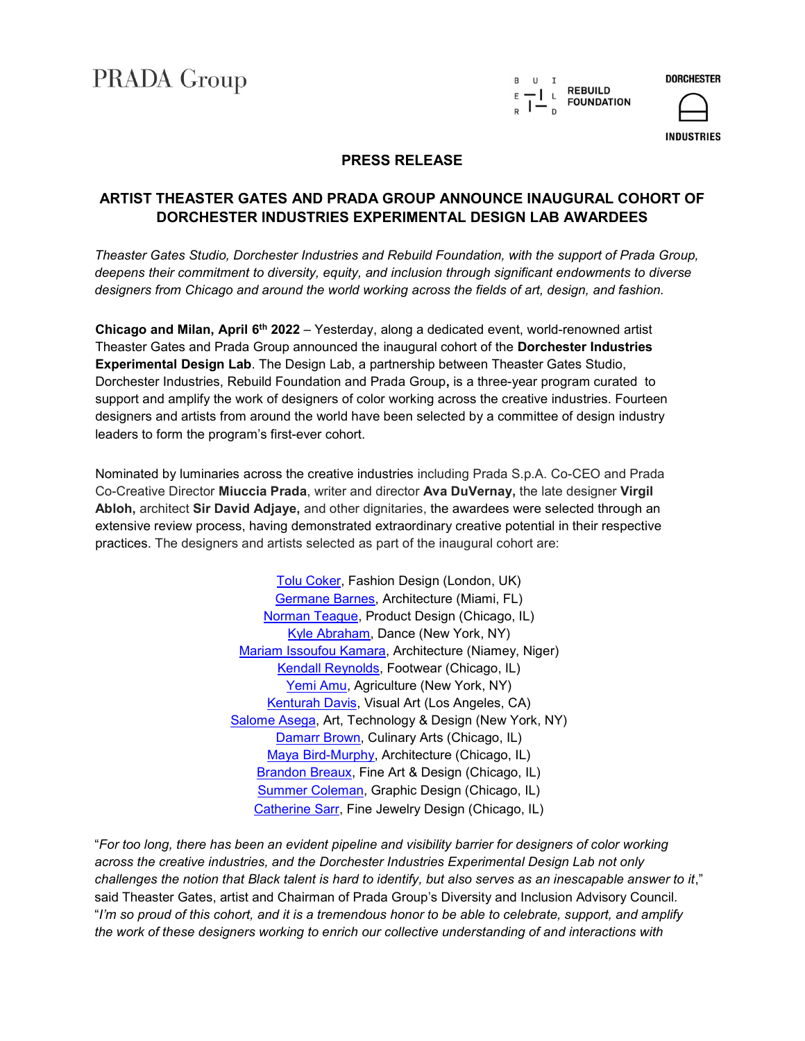**PRADA Group** 



**DORCHESTER** 

**INDUSTRIES** 

## PRESS RELEASE

# ARTIST THEASTER GATES AND PRADA GROUP ANNOUNCE INAUGURAL COHORT OF DORCHESTER INDUSTRIES EXPERIMENTAL DESIGN LAB AWARDEES

Theaster Gates Studio, Dorchester Industries and Rebuild Foundation, with the support of Prada Group, deepens their commitment to diversity, equity, and inclusion through significant endowments to diverse designers from Chicago and around the world working across the fields of art, design, and fashion.

Chicago and Milan, April  $6<sup>th</sup> 2022 - Yesterday$ , along a dedicated event, world-renowned artist Theaster Gates and Prada Group announced the inaugural cohort of the Dorchester Industries Experimental Design Lab. The Design Lab, a partnership between Theaster Gates Studio, Dorchester Industries, Rebuild Foundation and Prada Group, is a three-year program curated to support and amplify the work of designers of color working across the creative industries. Fourteen designers and artists from around the world have been selected by a committee of design industry leaders to form the program's first-ever cohort.

Nominated by luminaries across the creative industries including Prada S.p.A. Co-CEO and Prada Co-Creative Director Miuccia Prada, writer and director Ava DuVernay, the late designer Virgil Abloh, architect Sir David Adjaye, and other dignitaries, the awardees were selected through an extensive review process, having demonstrated extraordinary creative potential in their respective practices. The designers and artists selected as part of the inaugural cohort are:

> Tolu Coker, Fashion Design (London, UK) Germane Barnes, Architecture (Miami, FL) Norman Teague, Product Design (Chicago, IL) Kyle Abraham, Dance (New York, NY) Mariam Issoufou Kamara, Architecture (Niamey, Niger) Kendall Reynolds, Footwear (Chicago, IL) Yemi Amu, Agriculture (New York, NY) Kenturah Davis, Visual Art (Los Angeles, CA) Salome Asega, Art, Technology & Design (New York, NY) Damarr Brown, Culinary Arts (Chicago, IL) Maya Bird-Murphy, Architecture (Chicago, IL) Brandon Breaux, Fine Art & Design (Chicago, IL) Summer Coleman, Graphic Design (Chicago, IL) Catherine Sarr, Fine Jewelry Design (Chicago, IL)

"For too long, there has been an evident pipeline and visibility barrier for designers of color working across the creative industries, and the Dorchester Industries Experimental Design Lab not only challenges the notion that Black talent is hard to identify, but also serves as an inescapable answer to it," said Theaster Gates, artist and Chairman of Prada Group's Diversity and Inclusion Advisory Council. "I'm so proud of this cohort, and it is a tremendous honor to be able to celebrate, support, and amplify the work of these designers working to enrich our collective understanding of and interactions with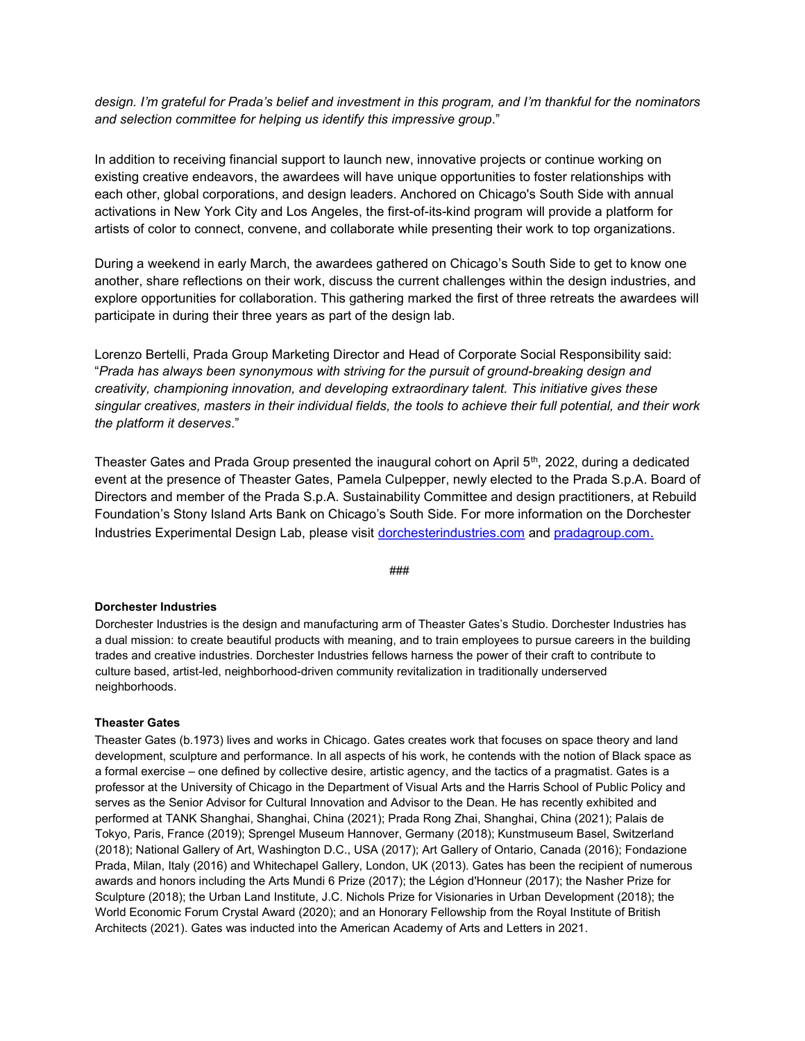design. I'm grateful for Prada's belief and investment in this program, and I'm thankful for the nominators and selection committee for helping us identify this impressive group."

In addition to receiving financial support to launch new, innovative projects or continue working on existing creative endeavors, the awardees will have unique opportunities to foster relationships with each other, global corporations, and design leaders. Anchored on Chicago's South Side with annual activations in New York City and Los Angeles, the first-of-its-kind program will provide a platform for artists of color to connect, convene, and collaborate while presenting their work to top organizations.

During a weekend in early March, the awardees gathered on Chicago's South Side to get to know one another, share reflections on their work, discuss the current challenges within the design industries, and explore opportunities for collaboration. This gathering marked the first of three retreats the awardees will participate in during their three years as part of the design lab.

Lorenzo Bertelli, Prada Group Marketing Director and Head of Corporate Social Responsibility said: "Prada has always been synonymous with striving for the pursuit of ground-breaking design and creativity, championing innovation, and developing extraordinary talent. This initiative gives these singular creatives, masters in their individual fields, the tools to achieve their full potential, and their work the platform it deserves."

Theaster Gates and Prada Group presented the inaugural cohort on April 5th, 2022, during a dedicated event at the presence of Theaster Gates, Pamela Culpepper, newly elected to the Prada S.p.A. Board of Directors and member of the Prada S.p.A. Sustainability Committee and design practitioners, at Rebuild Foundation's Stony Island Arts Bank on Chicago's South Side. For more information on the Dorchester Industries Experimental Design Lab, please visit dorchesterindustries.com and pradagroup.com.

###

#### Dorchester Industries

Dorchester Industries is the design and manufacturing arm of Theaster Gates's Studio. Dorchester Industries has a dual mission: to create beautiful products with meaning, and to train employees to pursue careers in the building trades and creative industries. Dorchester Industries fellows harness the power of their craft to contribute to culture based, artist-led, neighborhood-driven community revitalization in traditionally underserved neighborhoods.

## Theaster Gates

Theaster Gates (b.1973) lives and works in Chicago. Gates creates work that focuses on space theory and land development, sculpture and performance. In all aspects of his work, he contends with the notion of Black space as a formal exercise – one defined by collective desire, artistic agency, and the tactics of a pragmatist. Gates is a professor at the University of Chicago in the Department of Visual Arts and the Harris School of Public Policy and serves as the Senior Advisor for Cultural Innovation and Advisor to the Dean. He has recently exhibited and performed at TANK Shanghai, Shanghai, China (2021); Prada Rong Zhai, Shanghai, China (2021); Palais de Tokyo, Paris, France (2019); Sprengel Museum Hannover, Germany (2018); Kunstmuseum Basel, Switzerland (2018); National Gallery of Art, Washington D.C., USA (2017); Art Gallery of Ontario, Canada (2016); Fondazione Prada, Milan, Italy (2016) and Whitechapel Gallery, London, UK (2013). Gates has been the recipient of numerous awards and honors including the Arts Mundi 6 Prize (2017); the Légion d'Honneur (2017); the Nasher Prize for Sculpture (2018); the Urban Land Institute, J.C. Nichols Prize for Visionaries in Urban Development (2018); the World Economic Forum Crystal Award (2020); and an Honorary Fellowship from the Royal Institute of British Architects (2021). Gates was inducted into the American Academy of Arts and Letters in 2021.